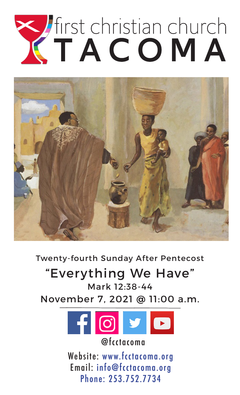# TACOMA



Twenty-fourth Sunday After Pentecost

# "Everything We Have" Mark 12:38-44

November 7, 2021 @ 11:00 a.m.



@fcctacoma

Website: www.fcctacoma.org Email: info@fcctacoma.org Phone: 253.752.7734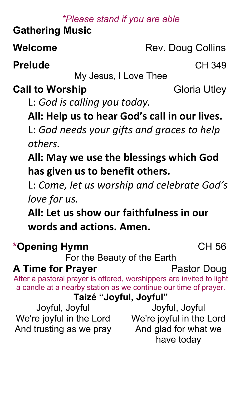## *\*Please stand if you are able*

**Gathering Music** 

**Welcome** Rev. Doug Collins

**Prelude** CH 349

My Jesus, I Love Thee

**Call to Worship Gloria Utley** 

L: *God is calling you today.*

**All: Help us to hear God's call in our lives.**

L: *God needs your gifts and graces to help others.*

**All: May we use the blessings which God has given us to benefit others.**

L: *Come, let us worship and celebrate God's love for us.*

**All: Let us show our faithfulness in our words and actions. Amen.**

# **\*Opening Hymn** CH 56

For the Beauty of the Earth

## **A Time for Prayer** Pastor Doug

After a pastoral prayer is offered, worshippers are invited to light a candle at a nearby station as we continue our time of prayer.

**Taizé "Joyful, Joyful"**

Joyful, Joyful We're joyful in the Lord And trusting as we pray

Joyful, Joyful We're joyful in the Lord And glad for what we have today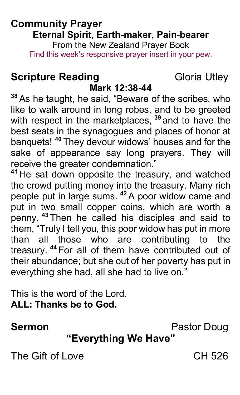## **Community Prayer Eternal Spirit, Earth-maker, Pain-bearer**

From the New Zealand Prayer Book Find this week's responsive prayer insert in your pew.

## **Scripture Reading**  Gloria Utley

# **Mark 12:38-44**

<sup>38</sup> As he taught, he said, "Beware of the scribes, who like to walk around in long robes, and to be greeted with respect in the marketplaces, <sup>39</sup> and to have the best seats in the synagogues and places of honor at banquets! <sup>40</sup> They devour widows' houses and for the sake of appearance say long prayers. They will receive the greater condemnation."

<sup>41</sup> He sat down opposite the treasury, and watched the crowd putting money into the treasury. Many rich people put in large sums. <sup>42</sup> A poor widow came and put in two small copper coins, which are worth a penny.<sup>43</sup> Then he called his disciples and said to them, "Truly I tell you, this poor widow has put in more than all those who are contributing to the treasury.<sup>44</sup> For all of them have contributed out of their abundance; but she out of her poverty has put in everything she had, all she had to live on."

This is the word of the Lord **ALL: Thanks be to God.** 

**Sermon** Pastor Doug

# "Everything We Have"

The Gift of Love CH 526